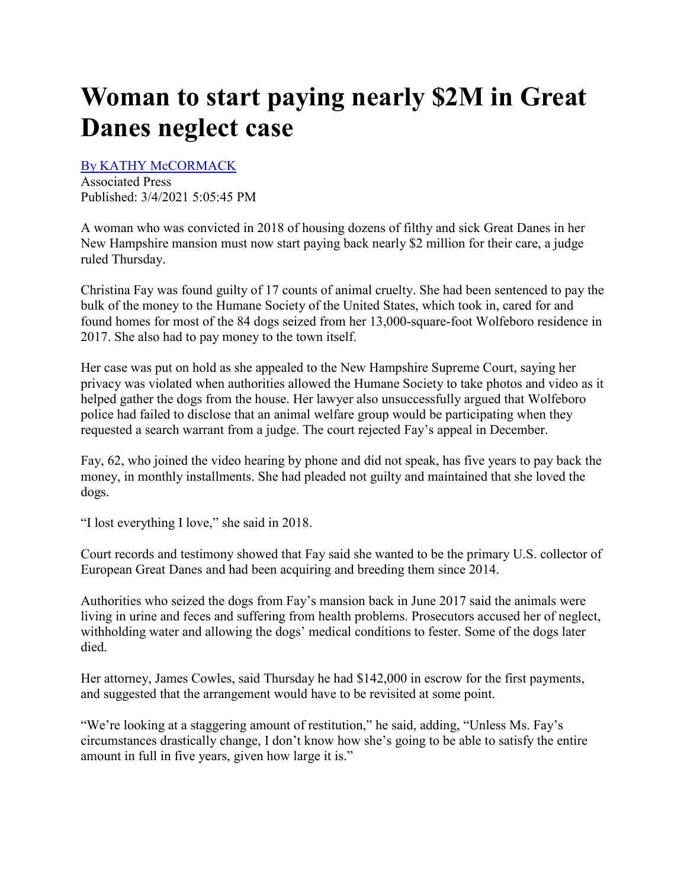## **Woman to start paying nearly \$2M in Great Danes neglect case**

[By KATHY McCORMACK](https://www.concordmonitor.com/byline?byline=By%20KATHY%20McCORMACK) 

Associated Press Published: 3/4/2021 5:05:45 PM

A woman who was convicted in 2018 of housing dozens of filthy and sick Great Danes in her New Hampshire mansion must now start paying back nearly \$2 million for their care, a judge ruled Thursday.

Christina Fay was found guilty of 17 counts of animal cruelty. She had been sentenced to pay the bulk of the money to the Humane Society of the United States, which took in, cared for and found homes for most of the 84 dogs seized from her 13,000-square-foot Wolfeboro residence in 2017. She also had to pay money to the town itself.

Her case was put on hold as she appealed to the New Hampshire Supreme Court, saying her privacy was violated when authorities allowed the Humane Society to take photos and video as it helped gather the dogs from the house. Her lawyer also unsuccessfully argued that Wolfeboro police had failed to disclose that an animal welfare group would be participating when they requested a search warrant from a judge. The court rejected Fay's appeal in December.

Fay, 62, who joined the video hearing by phone and did not speak, has five years to pay back the money, in monthly installments. She had pleaded not guilty and maintained that she loved the dogs.

"I lost everything I love," she said in 2018.

Court records and testimony showed that Fay said she wanted to be the primary U.S. collector of European Great Danes and had been acquiring and breeding them since 2014.

Authorities who seized the dogs from Fay's mansion back in June 2017 said the animals were living in urine and feces and suffering from health problems. Prosecutors accused her of neglect, withholding water and allowing the dogs' medical conditions to fester. Some of the dogs later died.

Her attorney, James Cowles, said Thursday he had \$142,000 in escrow for the first payments, and suggested that the arrangement would have to be revisited at some point.

"We're looking at a staggering amount of restitution," he said, adding, "Unless Ms. Fay's circumstances drastically change, I don't know how she's going to be able to satisfy the entire amount in full in five years, given how large it is."